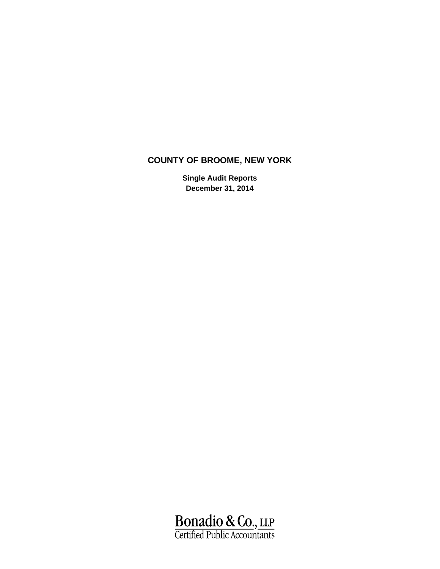**Single Audit Reports December 31, 2014**

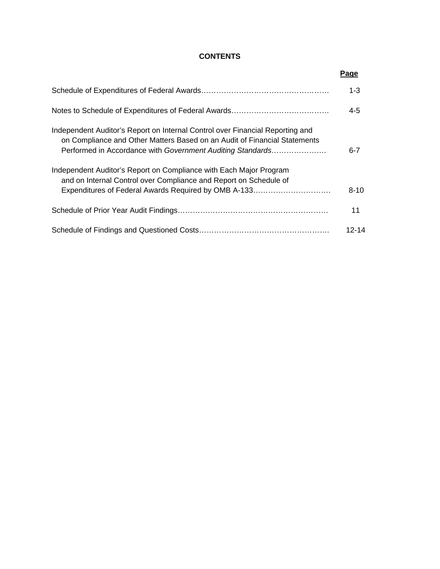# **CONTENTS**

|                                                                                                                                                                                                                          | Page      |
|--------------------------------------------------------------------------------------------------------------------------------------------------------------------------------------------------------------------------|-----------|
|                                                                                                                                                                                                                          | $1 - 3$   |
|                                                                                                                                                                                                                          | 4-5       |
| Independent Auditor's Report on Internal Control over Financial Reporting and<br>on Compliance and Other Matters Based on an Audit of Financial Statements<br>Performed in Accordance with Government Auditing Standards | $6 - 7$   |
| Independent Auditor's Report on Compliance with Each Major Program<br>and on Internal Control over Compliance and Report on Schedule of<br>Expenditures of Federal Awards Required by OMB A-133                          | $8 - 10$  |
|                                                                                                                                                                                                                          | 11        |
|                                                                                                                                                                                                                          | $12 - 14$ |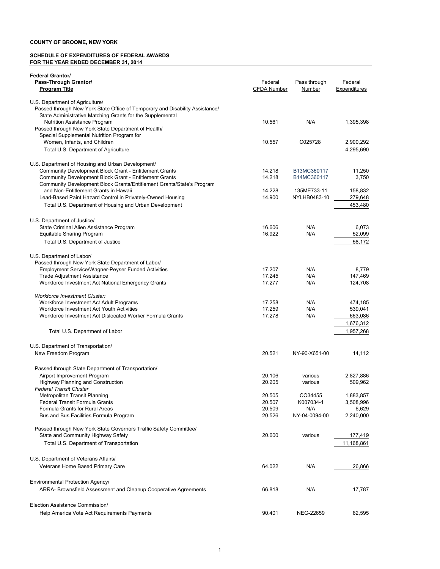#### **SCHEDULE OF EXPENDITURES OF FEDERAL AWARDS FOR THE YEAR ENDED DECEMBER 31, 2014**

| <b>Federal Grantor/</b><br>Pass-Through Grantor/<br>Program Title                                                                                                                                | Federal<br>CFDA Number | Pass through<br>Number      | Federal<br>Expenditures       |
|--------------------------------------------------------------------------------------------------------------------------------------------------------------------------------------------------|------------------------|-----------------------------|-------------------------------|
| U.S. Department of Agriculture/<br>Passed through New York State Office of Temporary and Disability Assistance/<br>State Administrative Matching Grants for the Supplemental                     |                        |                             |                               |
| Nutrition Assistance Program<br>Passed through New York State Department of Health/                                                                                                              | 10.561                 | N/A                         | 1,395,398                     |
| Special Supplemental Nutrition Program for<br>Women, Infants, and Children<br>Total U.S. Department of Agriculture                                                                               | 10.557                 | C025728                     | 2,900,292<br>4,295,690        |
| U.S. Department of Housing and Urban Development/                                                                                                                                                |                        |                             |                               |
| <b>Community Development Block Grant - Entitlement Grants</b><br>Community Development Block Grant - Entitlement Grants<br>Community Development Block Grants/Entitlement Grants/State's Program | 14.218<br>14.218       | B13MC360117<br>B14MC360117  | 11,250<br>3,750               |
| and Non-Entitlement Grants in Hawaii<br>Lead-Based Paint Hazard Control in Privately-Owned Housing<br>Total U.S. Department of Housing and Urban Development                                     | 14.228<br>14.900       | 135ME733-11<br>NYLHB0483-10 | 158,832<br>279,648<br>453,480 |
|                                                                                                                                                                                                  |                        |                             |                               |
| U.S. Department of Justice/<br>State Criminal Alien Assistance Program<br><b>Equitable Sharing Program</b>                                                                                       | 16.606<br>16.922       | N/A<br>N/A                  | 6.073<br>52,099               |
| Total U.S. Department of Justice                                                                                                                                                                 |                        |                             | 58,172                        |
| U.S. Department of Labor/                                                                                                                                                                        |                        |                             |                               |
| Passed through New York State Department of Labor/<br>Employment Service/Wagner-Peyser Funded Activities                                                                                         | 17.207                 | N/A                         | 8,779                         |
| <b>Trade Adjustment Assistance</b>                                                                                                                                                               | 17.245                 | N/A                         | 147,469                       |
| Workforce Investment Act National Emergency Grants                                                                                                                                               | 17.277                 | N/A                         | 124,708                       |
| <b>Workforce Investment Cluster:</b><br>Workforce Investment Act Adult Programs                                                                                                                  | 17.258                 | N/A                         | 474,185                       |
| Workforce Investment Act Youth Activities                                                                                                                                                        | 17.259                 | N/A                         | 539,041                       |
| Workforce Investment Act Dislocated Worker Formula Grants                                                                                                                                        | 17.278                 | N/A                         | 663,086                       |
| Total U.S. Department of Labor                                                                                                                                                                   |                        |                             | 1,676,312<br>1,957,268        |
|                                                                                                                                                                                                  |                        |                             |                               |
| U.S. Department of Transportation/<br>New Freedom Program                                                                                                                                        | 20.521                 | NY-90-X651-00               | 14,112                        |
| Passed through State Department of Transportation/                                                                                                                                               |                        |                             |                               |
| Airport Improvement Program<br>Highway Planning and Construction                                                                                                                                 | 20.106                 | various                     | 2,827,886                     |
| <b>Federal Transit Cluster</b>                                                                                                                                                                   | 20.205                 | various                     | 509,962                       |
| Metropolitan Transit Planning                                                                                                                                                                    | 20.505                 | CO34455                     | 1,883,857                     |
| Federal Transit Formula Grants                                                                                                                                                                   | 20.507                 | K007034-1                   | 3,508,996                     |
| Formula Grants for Rural Areas<br>Bus and Bus Facilities Formula Program                                                                                                                         | 20.509<br>20.526       | N/A<br>NY-04-0094-00        | 6,629<br>2,240,000            |
| Passed through New York State Governors Traffic Safety Committee/                                                                                                                                |                        |                             |                               |
| State and Community Highway Safety                                                                                                                                                               | 20.600                 | various                     | 177,419                       |
| Total U.S. Department of Transportation                                                                                                                                                          |                        |                             | 11,168,861                    |
| U.S. Department of Veterans Affairs/                                                                                                                                                             |                        |                             |                               |
| Veterans Home Based Primary Care                                                                                                                                                                 | 64.022                 | N/A                         | 26,866                        |
| Environmental Protection Agency/                                                                                                                                                                 |                        |                             |                               |
| ARRA- Brownsfield Assessment and Cleanup Cooperative Agreements                                                                                                                                  | 66.818                 | N/A                         | 17,787                        |
| Election Assistance Commission/                                                                                                                                                                  |                        |                             |                               |
| Help America Vote Act Requirements Payments                                                                                                                                                      | 90.401                 | NEG-22659                   | 82,595                        |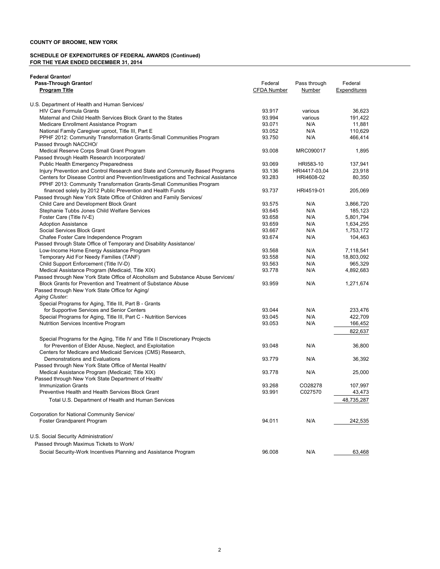#### **SCHEDULE OF EXPENDITURES OF FEDERAL AWARDS (Continued) FOR THE YEAR ENDED DECEMBER 31, 2014**

| Federal Grantor/                                                                   |             |               |              |
|------------------------------------------------------------------------------------|-------------|---------------|--------------|
| Pass-Through Grantor/                                                              | Federal     | Pass through  | Federal      |
| <b>Program Title</b>                                                               | CFDA Number | Number        | Expenditures |
| U.S. Department of Health and Human Services/                                      |             |               |              |
| <b>HIV Care Formula Grants</b>                                                     | 93.917      | various       | 36,623       |
| Maternal and Child Health Services Block Grant to the States                       | 93.994      | various       | 191.422      |
|                                                                                    |             | N/A           | 11.881       |
| Medicare Enrollment Assistance Program                                             | 93.071      |               |              |
| National Family Caregiver uproot, Title III, Part E                                | 93.052      | N/A           | 110,629      |
| PPHF 2012: Community Transformation Grants-Small Communities Program               | 93.750      | N/A           | 466,414      |
| Passed through NACCHO/                                                             |             |               |              |
| Medical Reserve Corps Small Grant Program                                          | 93.008      | MRC090017     | 1,895        |
| Passed through Health Research Incorporated/                                       |             |               |              |
| <b>Public Health Emergency Preparedness</b>                                        | 93.069      | HRI583-10     | 137,941      |
| Injury Prevention and Control Research and State and Community Based Programs      | 93.136      | HRI4417-03,04 | 23,918       |
| Centers for Disease Control and Prevention/Investigations and Technical Assistance | 93.283      | HRI4608-02    | 80,350       |
| PPHF 2013: Community Transformation Grants-Small Communities Program               |             |               |              |
| financed solely by 2012 Public Prevention and Health Funds                         | 93.737      | HRI4519-01    | 205,069      |
| Passed through New York State Office of Children and Family Services/              |             |               |              |
| Child Care and Development Block Grant                                             | 93.575      | N/A           | 3,866,720    |
| Stephanie Tubbs Jones Child Welfare Services                                       | 93.645      | N/A           | 185,123      |
| Foster Care (Title IV-E)                                                           | 93.658      | N/A           | 5,801,794    |
| <b>Adoption Assistance</b>                                                         | 93.659      | N/A           | 1,634,255    |
| Social Services Block Grant                                                        | 93.667      | N/A           | 1,753,172    |
| Chafee Foster Care Independence Program                                            | 93.674      | N/A           | 104,463      |
| Passed through State Office of Temporary and Disability Assistance/                |             |               |              |
| Low-Income Home Energy Assistance Program                                          | 93.568      | N/A           | 7,118,541    |
| Temporary Aid For Needy Families (TANF)                                            | 93.558      | N/A           | 18,803,092   |
| Child Support Enforcement (Title IV-D)                                             | 93.563      | N/A           | 965,329      |
| Medical Assistance Program (Medicaid, Title XIX)                                   | 93.778      | N/A           | 4,892,683    |
| Passed through New York State Office of Alcoholism and Substance Abuse Services/   |             |               |              |
| Block Grants for Prevention and Treatment of Substance Abuse                       | 93.959      | N/A           | 1,271,674    |
|                                                                                    |             |               |              |
| Passed through New York State Office for Aging/                                    |             |               |              |
| Aging Cluster:                                                                     |             |               |              |
| Special Programs for Aging, Title III, Part B - Grants                             |             |               |              |
| for Supportive Services and Senior Centers                                         | 93.044      | N/A           | 233,476      |
| Special Programs for Aging, Title III, Part C - Nutrition Services                 | 93.045      | N/A           | 422,709      |
| Nutrition Services Incentive Program                                               | 93.053      | N/A           | 166,452      |
|                                                                                    |             |               | 822,637      |
| Special Programs for the Aging, Title IV and Title II Discretionary Projects       |             |               |              |
| for Prevention of Elder Abuse, Neglect, and Exploitation                           | 93.048      | N/A           | 36,800       |
| Centers for Medicare and Medicaid Services (CMS) Research,                         |             |               |              |
| Demonstrations and Evaluations                                                     | 93.779      | N/A           | 36,392       |
| Passed through New York State Office of Mental Health/                             |             |               |              |
| Medical Assistance Program (Medicaid; Title XIX)                                   | 93.778      | N/A           | 25,000       |
| Passed through New York State Department of Health/                                |             |               |              |
| <b>Immunization Grants</b>                                                         | 93.268      | CO28278       | 107,997      |
| Preventive Health and Health Services Block Grant                                  | 93.991      | C027570       | 43,473       |
|                                                                                    |             |               |              |
| Total U.S. Department of Health and Human Services                                 |             |               | 48,735,287   |
| Corporation for National Community Service/                                        |             |               |              |
| <b>Foster Grandparent Program</b>                                                  | 94.011      | N/A           | 242,535      |
| U.S. Social Security Administration/                                               |             |               |              |
| Passed through Maximus Tickets to Work/                                            |             |               |              |
| Social Security-Work Incentives Planning and Assistance Program                    | 96.008      | N/A           | 63,468       |
|                                                                                    |             |               |              |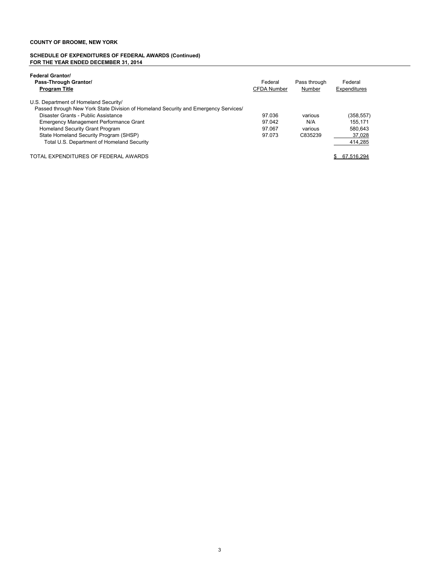#### **SCHEDULE OF EXPENDITURES OF FEDERAL AWARDS (Continued) FOR THE YEAR ENDED DECEMBER 31, 2014**

| <b>Federal Grantor/</b><br>Pass-Through Grantor/<br><b>Program Title</b>            | Federal<br><b>CFDA Number</b> | Pass through<br>Number | Federal<br>Expenditures |
|-------------------------------------------------------------------------------------|-------------------------------|------------------------|-------------------------|
| U.S. Department of Homeland Security/                                               |                               |                        |                         |
| Passed through New York State Division of Homeland Security and Emergency Services/ |                               |                        |                         |
| Disaster Grants - Public Assistance                                                 | 97.036                        | various                | (358, 557)              |
| Emergency Management Performance Grant                                              | 97.042                        | N/A                    | 155.171                 |
| Homeland Security Grant Program                                                     | 97 067                        | various                | 580.643                 |
| State Homeland Security Program (SHSP)                                              | 97.073                        | C835239                | 37.028                  |
| Total U.S. Department of Homeland Security                                          |                               |                        | 414,285                 |
| TOTAL EXPENDITURES OF FEDERAL AWARDS                                                |                               |                        | 67.516.294              |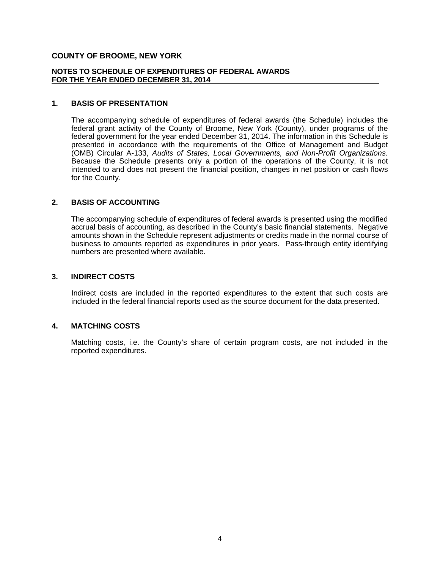#### **NOTES TO SCHEDULE OF EXPENDITURES OF FEDERAL AWARDS FOR THE YEAR ENDED DECEMBER 31, 2014**

#### **1. BASIS OF PRESENTATION**

The accompanying schedule of expenditures of federal awards (the Schedule) includes the federal grant activity of the County of Broome, New York (County), under programs of the federal government for the year ended December 31, 2014. The information in this Schedule is presented in accordance with the requirements of the Office of Management and Budget (OMB) Circular A-133, *Audits of States, Local Governments, and Non-Profit Organizations.* Because the Schedule presents only a portion of the operations of the County, it is not intended to and does not present the financial position, changes in net position or cash flows for the County.

#### **2. BASIS OF ACCOUNTING**

The accompanying schedule of expenditures of federal awards is presented using the modified accrual basis of accounting, as described in the County's basic financial statements. Negative amounts shown in the Schedule represent adjustments or credits made in the normal course of business to amounts reported as expenditures in prior years. Pass-through entity identifying numbers are presented where available.

#### **3. INDIRECT COSTS**

Indirect costs are included in the reported expenditures to the extent that such costs are included in the federal financial reports used as the source document for the data presented.

# **4. MATCHING COSTS**

Matching costs, i.e. the County's share of certain program costs, are not included in the reported expenditures.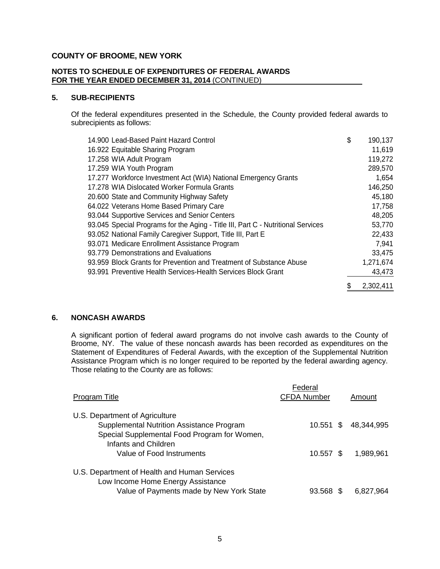#### **NOTES TO SCHEDULE OF EXPENDITURES OF FEDERAL AWARDS FOR THE YEAR ENDED DECEMBER 31, 2014** (CONTINUED)

#### **5. SUB-RECIPIENTS**

Of the federal expenditures presented in the Schedule, the County provided federal awards to subrecipients as follows:

| 14.900 Lead-Based Paint Hazard Control                                           | \$<br>190,137   |
|----------------------------------------------------------------------------------|-----------------|
| 16.922 Equitable Sharing Program                                                 | 11,619          |
| 17.258 WIA Adult Program                                                         | 119,272         |
| 17.259 WIA Youth Program                                                         | 289,570         |
| 17.277 Workforce Investment Act (WIA) National Emergency Grants                  | 1,654           |
| 17.278 WIA Dislocated Worker Formula Grants                                      | 146,250         |
| 20.600 State and Community Highway Safety                                        | 45,180          |
| 64.022 Veterans Home Based Primary Care                                          | 17,758          |
| 93.044 Supportive Services and Senior Centers                                    | 48,205          |
| 93.045 Special Programs for the Aging - Title III, Part C - Nutritional Services | 53,770          |
| 93.052 National Family Caregiver Support, Title III, Part E                      | 22,433          |
| 93.071 Medicare Enrollment Assistance Program                                    | 7,941           |
| 93.779 Demonstrations and Evaluations                                            | 33,475          |
| 93.959 Block Grants for Prevention and Treatment of Substance Abuse              | 1,271,674       |
| 93.991 Preventive Health Services-Health Services Block Grant                    | 43,473          |
|                                                                                  | \$<br>2,302,411 |

#### **6. NONCASH AWARDS**

A significant portion of federal award programs do not involve cash awards to the County of Broome, NY. The value of these noncash awards has been recorded as expenditures on the Statement of Expenditures of Federal Awards, with the exception of the Supplemental Nutrition Assistance Program which is no longer required to be reported by the federal awarding agency. Those relating to the County are as follows:

| Program Title                                                                                                                 | Federal<br><b>CFDA Number</b> |    | Amount     |
|-------------------------------------------------------------------------------------------------------------------------------|-------------------------------|----|------------|
| U.S. Department of Agriculture<br>Supplemental Nutrition Assistance Program<br>Special Supplemental Food Program for Women,   | 10.551                        | S. | 48,344,995 |
| Infants and Children<br>Value of Food Instruments                                                                             | 10.557 \$                     |    | 1,989,961  |
| U.S. Department of Health and Human Services<br>Low Income Home Energy Assistance<br>Value of Payments made by New York State | 93.568                        |    | 6.827.964  |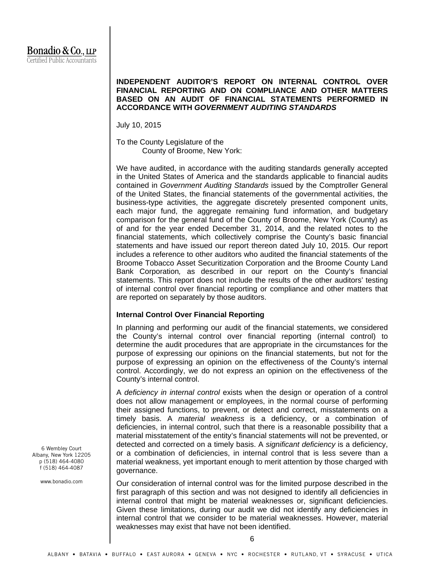#### **INDEPENDENT AUDITOR'S REPORT ON INTERNAL CONTROL OVER FINANCIAL REPORTING AND ON COMPLIANCE AND OTHER MATTERS BASED ON AN AUDIT OF FINANCIAL STATEMENTS PERFORMED IN ACCORDANCE WITH** *GOVERNMENT AUDITING STANDARDS*

July 10, 2015

To the County Legislature of the County of Broome, New York:

We have audited, in accordance with the auditing standards generally accepted in the United States of America and the standards applicable to financial audits contained in *Government Auditing Standards* issued by the Comptroller General of the United States, the financial statements of the governmental activities, the business-type activities, the aggregate discretely presented component units, each major fund, the aggregate remaining fund information, and budgetary comparison for the general fund of the County of Broome, New York (County) as of and for the year ended December 31, 2014, and the related notes to the financial statements, which collectively comprise the County's basic financial statements and have issued our report thereon dated July 10, 2015. Our report includes a reference to other auditors who audited the financial statements of the Broome Tobacco Asset Securitization Corporation and the Broome County Land Bank Corporation*,* as described in our report on the County's financial statements. This report does not include the results of the other auditors' testing of internal control over financial reporting or compliance and other matters that are reported on separately by those auditors.

#### **Internal Control Over Financial Reporting**

In planning and performing our audit of the financial statements, we considered the County's internal control over financial reporting (internal control) to determine the audit procedures that are appropriate in the circumstances for the purpose of expressing our opinions on the financial statements, but not for the purpose of expressing an opinion on the effectiveness of the County's internal control. Accordingly, we do not express an opinion on the effectiveness of the County's internal control.

A *deficiency in internal control* exists when the design or operation of a control does not allow management or employees, in the normal course of performing their assigned functions, to prevent, or detect and correct, misstatements on a timely basis. A *material weakness* is a deficiency, or a combination of deficiencies, in internal control, such that there is a reasonable possibility that a material misstatement of the entity's financial statements will not be prevented, or detected and corrected on a timely basis. A *significant deficiency* is a deficiency, or a combination of deficiencies, in internal control that is less severe than a material weakness, yet important enough to merit attention by those charged with governance.

Our consideration of internal control was for the limited purpose described in the first paragraph of this section and was not designed to identify all deficiencies in internal control that might be material weaknesses or, significant deficiencies. Given these limitations, during our audit we did not identify any deficiencies in internal control that we consider to be material weaknesses. However, material weaknesses may exist that have not been identified.

6 Wembley Court Albany, New York 12205 p (518) 464-4080 f (518) 464-4087

www.bonadio.com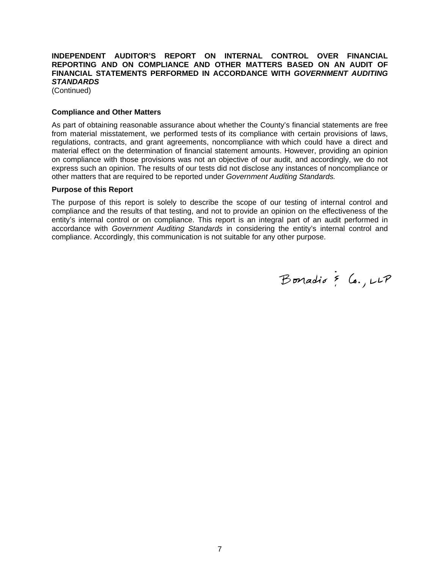# **INDEPENDENT AUDITOR'S REPORT ON INTERNAL CONTROL OVER FINANCIAL REPORTING AND ON COMPLIANCE AND OTHER MATTERS BASED ON AN AUDIT OF FINANCIAL STATEMENTS PERFORMED IN ACCORDANCE WITH** *GOVERNMENT AUDITING STANDARDS*

(Continued)

#### **Compliance and Other Matters**

As part of obtaining reasonable assurance about whether the County's financial statements are free from material misstatement, we performed tests of its compliance with certain provisions of laws, regulations, contracts, and grant agreements, noncompliance with which could have a direct and material effect on the determination of financial statement amounts. However, providing an opinion on compliance with those provisions was not an objective of our audit, and accordingly, we do not express such an opinion. The results of our tests did not disclose any instances of noncompliance or other matters that are required to be reported under *Government Auditing Standards.*

#### **Purpose of this Report**

The purpose of this report is solely to describe the scope of our testing of internal control and compliance and the results of that testing, and not to provide an opinion on the effectiveness of the entity's internal control or on compliance. This report is an integral part of an audit performed in accordance with *Government Auditing Standards* in considering the entity's internal control and compliance. Accordingly, this communication is not suitable for any other purpose.

Bonadio & Co., LLP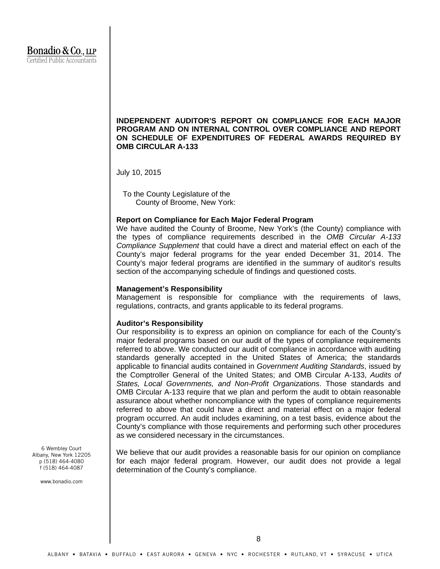#### **INDEPENDENT AUDITOR'S REPORT ON COMPLIANCE FOR EACH MAJOR PROGRAM AND ON INTERNAL CONTROL OVER COMPLIANCE AND REPORT ON SCHEDULE OF EXPENDITURES OF FEDERAL AWARDS REQUIRED BY OMB CIRCULAR A-133**

July 10, 2015

To the County Legislature of the County of Broome, New York:

#### **Report on Compliance for Each Major Federal Program**

We have audited the County of Broome, New York's (the County) compliance with the types of compliance requirements described in the *OMB Circular A-133 Compliance Supplement* that could have a direct and material effect on each of the County's major federal programs for the year ended December 31, 2014. The County's major federal programs are identified in the summary of auditor's results section of the accompanying schedule of findings and questioned costs.

#### **Management's Responsibility**

Management is responsible for compliance with the requirements of laws, regulations, contracts, and grants applicable to its federal programs.

#### **Auditor's Responsibility**

Our responsibility is to express an opinion on compliance for each of the County's major federal programs based on our audit of the types of compliance requirements referred to above. We conducted our audit of compliance in accordance with auditing standards generally accepted in the United States of America; the standards applicable to financial audits contained in *Government Auditing Standards*, issued by the Comptroller General of the United States; and OMB Circular A-133, *Audits of States, Local Governments, and Non-Profit Organizations*. Those standards and OMB Circular A-133 require that we plan and perform the audit to obtain reasonable assurance about whether noncompliance with the types of compliance requirements referred to above that could have a direct and material effect on a major federal program occurred. An audit includes examining, on a test basis, evidence about the County's compliance with those requirements and performing such other procedures as we considered necessary in the circumstances.

We believe that our audit provides a reasonable basis for our opinion on compliance for each major federal program. However, our audit does not provide a legal determination of the County's compliance.

6 Wembley Court Albany, New York 12205 p (518) 464-4080 f (518) 464-4087

www.bonadio.com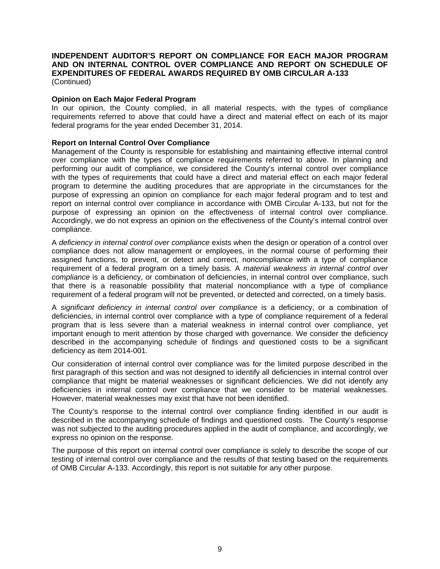#### **INDEPENDENT AUDITOR'S REPORT ON COMPLIANCE FOR EACH MAJOR PROGRAM AND ON INTERNAL CONTROL OVER COMPLIANCE AND REPORT ON SCHEDULE OF EXPENDITURES OF FEDERAL AWARDS REQUIRED BY OMB CIRCULAR A-133**  (Continued)

# **Opinion on Each Major Federal Program**

In our opinion, the County complied, in all material respects, with the types of compliance requirements referred to above that could have a direct and material effect on each of its major federal programs for the year ended December 31, 2014.

# **Report on Internal Control Over Compliance**

Management of the County is responsible for establishing and maintaining effective internal control over compliance with the types of compliance requirements referred to above. In planning and performing our audit of compliance, we considered the County's internal control over compliance with the types of requirements that could have a direct and material effect on each major federal program to determine the auditing procedures that are appropriate in the circumstances for the purpose of expressing an opinion on compliance for each major federal program and to test and report on internal control over compliance in accordance with OMB Circular A-133, but not for the purpose of expressing an opinion on the effectiveness of internal control over compliance. Accordingly, we do not express an opinion on the effectiveness of the County's internal control over compliance.

A *deficiency in internal control over compliance* exists when the design or operation of a control over compliance does not allow management or employees, in the normal course of performing their assigned functions, to prevent, or detect and correct, noncompliance with a type of compliance requirement of a federal program on a timely basis. A *material weakness in internal control over compliance* is a deficiency, or combination of deficiencies, in internal control over compliance, such that there is a reasonable possibility that material noncompliance with a type of compliance requirement of a federal program will not be prevented, or detected and corrected, on a timely basis.

A *significant deficiency in internal control over compliance* is a deficiency, or a combination of deficiencies, in internal control over compliance with a type of compliance requirement of a federal program that is less severe than a material weakness in internal control over compliance, yet important enough to merit attention by those charged with governance. We consider the deficiency described in the accompanying schedule of findings and questioned costs to be a significant deficiency as item 2014-001.

Our consideration of internal control over compliance was for the limited purpose described in the first paragraph of this section and was not designed to identify all deficiencies in internal control over compliance that might be material weaknesses or significant deficiencies. We did not identify any deficiencies in internal control over compliance that we consider to be material weaknesses. However, material weaknesses may exist that have not been identified.

The County's response to the internal control over compliance finding identified in our audit is described in the accompanying schedule of findings and questioned costs. The County's response was not subjected to the auditing procedures applied in the audit of compliance, and accordingly, we express no opinion on the response.

The purpose of this report on internal control over compliance is solely to describe the scope of our testing of internal control over compliance and the results of that testing based on the requirements of OMB Circular A-133. Accordingly, this report is not suitable for any other purpose.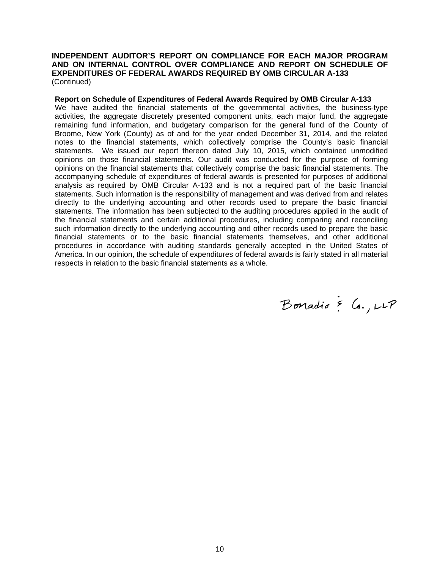### **INDEPENDENT AUDITOR'S REPORT ON COMPLIANCE FOR EACH MAJOR PROGRAM AND ON INTERNAL CONTROL OVER COMPLIANCE AND REPORT ON SCHEDULE OF EXPENDITURES OF FEDERAL AWARDS REQUIRED BY OMB CIRCULAR A-133**  (Continued)

### **Report on Schedule of Expenditures of Federal Awards Required by OMB Circular A-133**

We have audited the financial statements of the governmental activities, the business-type activities, the aggregate discretely presented component units, each major fund, the aggregate remaining fund information, and budgetary comparison for the general fund of the County of Broome, New York (County) as of and for the year ended December 31, 2014, and the related notes to the financial statements, which collectively comprise the County's basic financial statements. We issued our report thereon dated July 10, 2015, which contained unmodified opinions on those financial statements. Our audit was conducted for the purpose of forming opinions on the financial statements that collectively comprise the basic financial statements. The accompanying schedule of expenditures of federal awards is presented for purposes of additional analysis as required by OMB Circular A-133 and is not a required part of the basic financial statements. Such information is the responsibility of management and was derived from and relates directly to the underlying accounting and other records used to prepare the basic financial statements. The information has been subjected to the auditing procedures applied in the audit of the financial statements and certain additional procedures, including comparing and reconciling such information directly to the underlying accounting and other records used to prepare the basic financial statements or to the basic financial statements themselves, and other additional procedures in accordance with auditing standards generally accepted in the United States of America. In our opinion, the schedule of expenditures of federal awards is fairly stated in all material respects in relation to the basic financial statements as a whole.

Bonadio & Co., LLP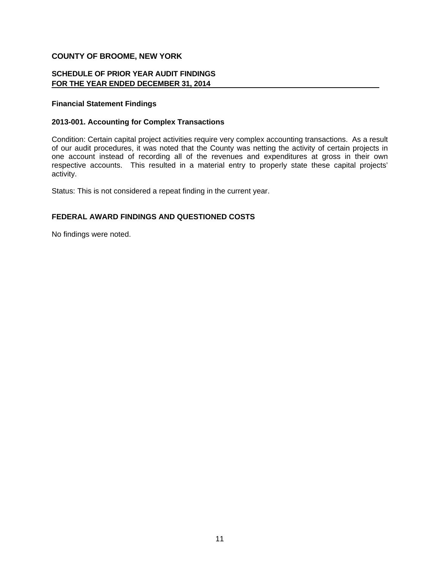# **SCHEDULE OF PRIOR YEAR AUDIT FINDINGS FOR THE YEAR ENDED DECEMBER 31, 2014**

#### **Financial Statement Findings**

#### **2013-001. Accounting for Complex Transactions**

Condition: Certain capital project activities require very complex accounting transactions. As a result of our audit procedures, it was noted that the County was netting the activity of certain projects in one account instead of recording all of the revenues and expenditures at gross in their own respective accounts. This resulted in a material entry to properly state these capital projects' activity.

Status: This is not considered a repeat finding in the current year.

# **FEDERAL AWARD FINDINGS AND QUESTIONED COSTS**

No findings were noted.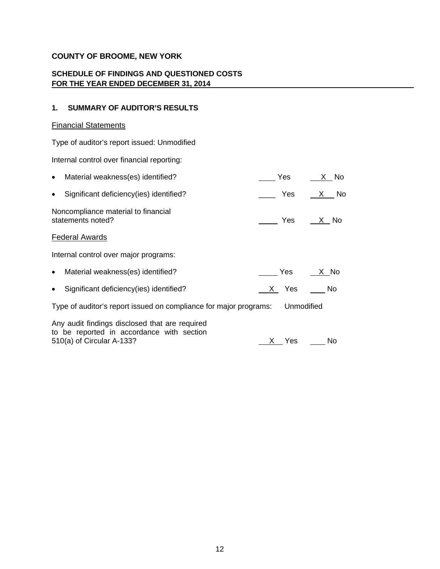# **SCHEDULE OF FINDINGS AND QUESTIONED COSTS FOR THE YEAR ENDED DECEMBER 31, 2014**

# **1. SUMMARY OF AUDITOR'S RESULTS**

# **Financial Statements**

Type of auditor's report issued: Unmodified

Internal control over financial reporting:

|                       | • Material weakness(es) identified?                                                                                      | Yes                                | $X$ No |  |
|-----------------------|--------------------------------------------------------------------------------------------------------------------------|------------------------------------|--------|--|
| $\bullet$             | Significant deficiency(ies) identified?                                                                                  | $\frac{1}{1}$ Yes $\frac{1}{1}$ No |        |  |
| statements noted?     | Noncompliance material to financial                                                                                      | No Yes X No                        |        |  |
| <b>Federal Awards</b> |                                                                                                                          |                                    |        |  |
|                       | Internal control over major programs:                                                                                    |                                    |        |  |
| $\bullet$             | Material weakness(es) identified?                                                                                        | Nes X No                           |        |  |
|                       | • Significant deficiency(ies) identified?                                                                                | X Yes No                           |        |  |
|                       | Type of auditor's report issued on compliance for major programs:                                                        | Unmodified                         |        |  |
|                       | Any audit findings disclosed that are required<br>to be reported in accordance with section<br>510(a) of Circular A-133? | X Yes                              | No     |  |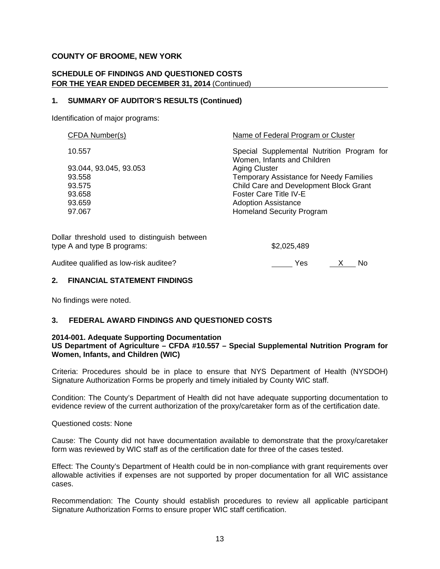# **SCHEDULE OF FINDINGS AND QUESTIONED COSTS FOR THE YEAR ENDED DECEMBER 31, 2014** (Continued)

### **1. SUMMARY OF AUDITOR'S RESULTS (Continued)**

Identification of major programs:

| CFDA Number(s)         | Name of Federal Program or Cluster                                        |
|------------------------|---------------------------------------------------------------------------|
| 10.557                 | Special Supplemental Nutrition Program for<br>Women, Infants and Children |
| 93.044, 93.045, 93.053 | <b>Aging Cluster</b>                                                      |
| 93.558                 | <b>Temporary Assistance for Needy Families</b>                            |
| 93.575                 | Child Care and Development Block Grant                                    |
| 93.658                 | <b>Foster Care Title IV-E</b>                                             |
| 93.659                 | <b>Adoption Assistance</b>                                                |
| 97.067                 | <b>Homeland Security Program</b>                                          |
|                        |                                                                           |
|                        |                                                                           |

Dollar threshold used to distinguish between type A and type B programs:  $$2,025,489$ 

Auditee qualified as low-risk auditee? Yes X No

#### **2. FINANCIAL STATEMENT FINDINGS**

No findings were noted.

# **3. FEDERAL AWARD FINDINGS AND QUESTIONED COSTS**

#### **2014-001. Adequate Supporting Documentation US Department of Agriculture – CFDA #10.557 – Special Supplemental Nutrition Program for Women, Infants, and Children (WIC)**

Criteria: Procedures should be in place to ensure that NYS Department of Health (NYSDOH) Signature Authorization Forms be properly and timely initialed by County WIC staff.

Condition: The County's Department of Health did not have adequate supporting documentation to evidence review of the current authorization of the proxy/caretaker form as of the certification date.

Questioned costs: None

Cause: The County did not have documentation available to demonstrate that the proxy/caretaker form was reviewed by WIC staff as of the certification date for three of the cases tested.

Effect: The County's Department of Health could be in non-compliance with grant requirements over allowable activities if expenses are not supported by proper documentation for all WIC assistance cases.

Recommendation: The County should establish procedures to review all applicable participant Signature Authorization Forms to ensure proper WIC staff certification.